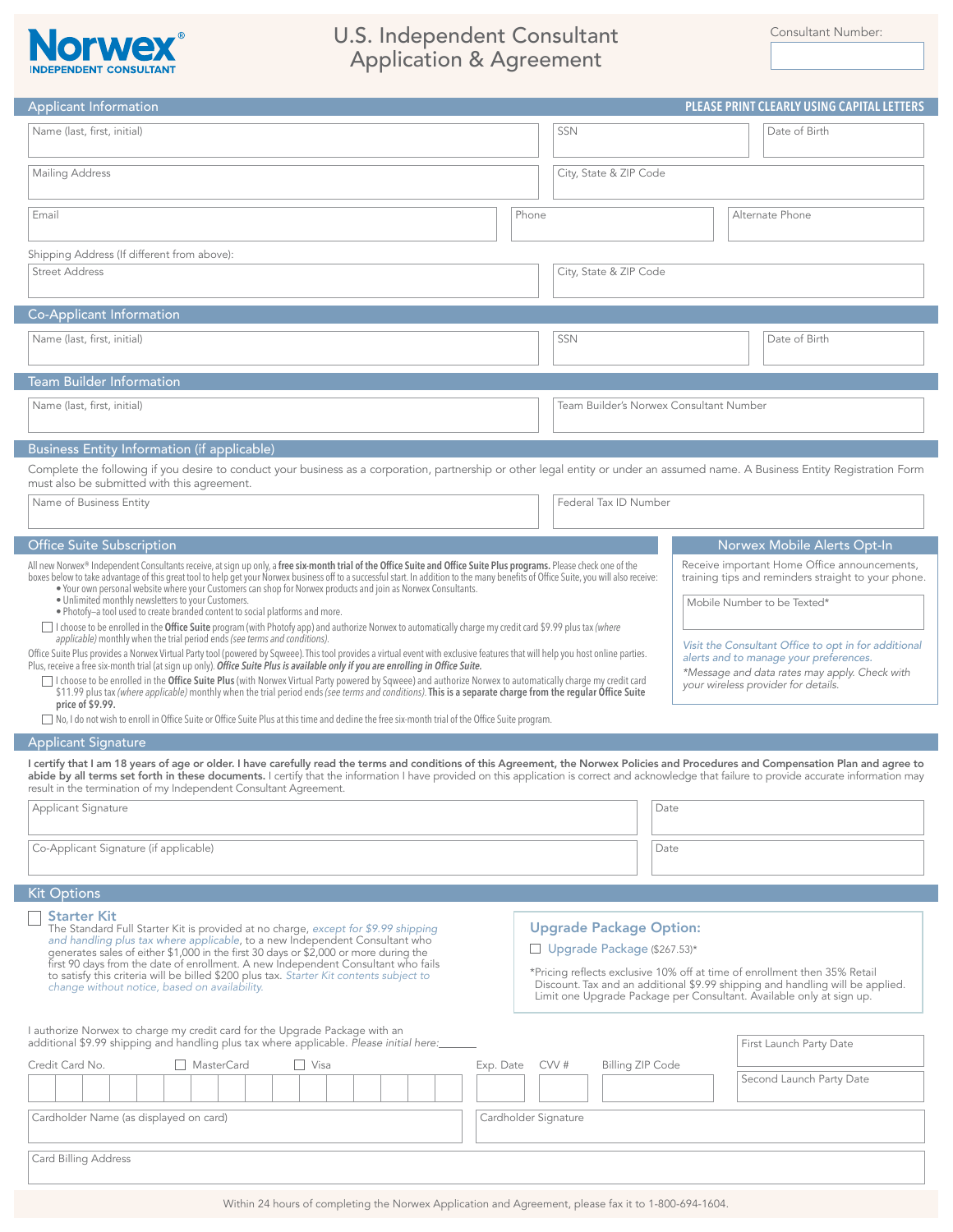

## U.S. Independent Consultant Consultant Consultant Rumber: Application & Agreement

| <b>Applicant Information</b>                                                                                                                                                                                                                                                                                                                                                                                                                                                                                                                                                                                                                                                                                                                                                                                                                                                                                                                                                                                                                                                                                                                                                                                                                                                                                                                                                                      | PLEASE PRINT CLEARLY USING CAPITAL LETTERS                                                                                                                                      |
|---------------------------------------------------------------------------------------------------------------------------------------------------------------------------------------------------------------------------------------------------------------------------------------------------------------------------------------------------------------------------------------------------------------------------------------------------------------------------------------------------------------------------------------------------------------------------------------------------------------------------------------------------------------------------------------------------------------------------------------------------------------------------------------------------------------------------------------------------------------------------------------------------------------------------------------------------------------------------------------------------------------------------------------------------------------------------------------------------------------------------------------------------------------------------------------------------------------------------------------------------------------------------------------------------------------------------------------------------------------------------------------------------|---------------------------------------------------------------------------------------------------------------------------------------------------------------------------------|
| Name (last, first, initial)                                                                                                                                                                                                                                                                                                                                                                                                                                                                                                                                                                                                                                                                                                                                                                                                                                                                                                                                                                                                                                                                                                                                                                                                                                                                                                                                                                       | <b>SSN</b><br>Date of Birth                                                                                                                                                     |
| Mailing Address                                                                                                                                                                                                                                                                                                                                                                                                                                                                                                                                                                                                                                                                                                                                                                                                                                                                                                                                                                                                                                                                                                                                                                                                                                                                                                                                                                                   | City, State & ZIP Code                                                                                                                                                          |
| Email                                                                                                                                                                                                                                                                                                                                                                                                                                                                                                                                                                                                                                                                                                                                                                                                                                                                                                                                                                                                                                                                                                                                                                                                                                                                                                                                                                                             | Phone<br>Alternate Phone                                                                                                                                                        |
| Shipping Address (If different from above):                                                                                                                                                                                                                                                                                                                                                                                                                                                                                                                                                                                                                                                                                                                                                                                                                                                                                                                                                                                                                                                                                                                                                                                                                                                                                                                                                       |                                                                                                                                                                                 |
| <b>Street Address</b>                                                                                                                                                                                                                                                                                                                                                                                                                                                                                                                                                                                                                                                                                                                                                                                                                                                                                                                                                                                                                                                                                                                                                                                                                                                                                                                                                                             | City, State & ZIP Code                                                                                                                                                          |
| Co-Applicant Information                                                                                                                                                                                                                                                                                                                                                                                                                                                                                                                                                                                                                                                                                                                                                                                                                                                                                                                                                                                                                                                                                                                                                                                                                                                                                                                                                                          |                                                                                                                                                                                 |
| Name (last, first, initial)                                                                                                                                                                                                                                                                                                                                                                                                                                                                                                                                                                                                                                                                                                                                                                                                                                                                                                                                                                                                                                                                                                                                                                                                                                                                                                                                                                       | <b>SSN</b><br>Date of Birth                                                                                                                                                     |
| <b>Team Builder Information</b>                                                                                                                                                                                                                                                                                                                                                                                                                                                                                                                                                                                                                                                                                                                                                                                                                                                                                                                                                                                                                                                                                                                                                                                                                                                                                                                                                                   |                                                                                                                                                                                 |
| Name (last, first, initial)                                                                                                                                                                                                                                                                                                                                                                                                                                                                                                                                                                                                                                                                                                                                                                                                                                                                                                                                                                                                                                                                                                                                                                                                                                                                                                                                                                       | Team Builder's Norwex Consultant Number                                                                                                                                         |
| <b>Business Entity Information (if applicable)</b>                                                                                                                                                                                                                                                                                                                                                                                                                                                                                                                                                                                                                                                                                                                                                                                                                                                                                                                                                                                                                                                                                                                                                                                                                                                                                                                                                |                                                                                                                                                                                 |
| must also be submitted with this agreement.                                                                                                                                                                                                                                                                                                                                                                                                                                                                                                                                                                                                                                                                                                                                                                                                                                                                                                                                                                                                                                                                                                                                                                                                                                                                                                                                                       | Complete the following if you desire to conduct your business as a corporation, partnership or other legal entity or under an assumed name. A Business Entity Registration Form |
| Name of Business Entity                                                                                                                                                                                                                                                                                                                                                                                                                                                                                                                                                                                                                                                                                                                                                                                                                                                                                                                                                                                                                                                                                                                                                                                                                                                                                                                                                                           | Federal Tax ID Number                                                                                                                                                           |
| <b>Office Suite Subscription</b>                                                                                                                                                                                                                                                                                                                                                                                                                                                                                                                                                                                                                                                                                                                                                                                                                                                                                                                                                                                                                                                                                                                                                                                                                                                                                                                                                                  | Norwex Mobile Alerts Opt-In                                                                                                                                                     |
| . Your own personal website where your Customers can shop for Norwex products and join as Norwex Consultants.<br>. Unlimited monthly newsletters to your Customers.<br>Mobile Number to be Texted*<br>. Photofy-a tool used to create branded content to social platforms and more.<br>□ I choose to be enrolled in the Office Suite program (with Photofy app) and authorize Norwex to automatically charge my credit card \$9.99 plus tax (where<br>applicable) monthly when the trial period ends (see terms and conditions).<br>Visit the Consultant Office to opt in for additional<br>Office Suite Plus provides a Norwex Virtual Party tool (powered by Sqweee). This tool provides a virtual event with exclusive features that will help you host online parties.<br>alerts and to manage your preferences.<br>Plus, receive a free six-month trial (at sign up only). Office Suite Plus is available only if you are enrolling in Office Suite.<br>*Message and data rates may apply. Check with<br>I choose to be enrolled in the Office Suite Plus (with Norwex Virtual Party powered by Sqweee) and authorize Norwex to automatically charge my credit card<br>your wireless provider for details.<br>\$11.99 plus tax (where applicable) monthly when the trial period ends (see terms and conditions). This is a separate charge from the regular Office Suite<br>price of \$9.99. |                                                                                                                                                                                 |
| □ No, I do not wish to enroll in Office Suite or Office Suite Plus at this time and decline the free six-month trial of the Office Suite program.                                                                                                                                                                                                                                                                                                                                                                                                                                                                                                                                                                                                                                                                                                                                                                                                                                                                                                                                                                                                                                                                                                                                                                                                                                                 |                                                                                                                                                                                 |
| <b>Applicant Signature</b><br>I certify that I am 18 years of age or older. I have carefully read the terms and conditions of this Agreement, the Norwex Policies and Procedures and Compensation Plan and agree to<br>abide by all terms set forth in these documents. I certify that the information I have provided on this application is correct and acknowledge that failure to provide accurate information may<br>result in the termination of my Independent Consultant Agreement.                                                                                                                                                                                                                                                                                                                                                                                                                                                                                                                                                                                                                                                                                                                                                                                                                                                                                                       |                                                                                                                                                                                 |
| Applicant Signature                                                                                                                                                                                                                                                                                                                                                                                                                                                                                                                                                                                                                                                                                                                                                                                                                                                                                                                                                                                                                                                                                                                                                                                                                                                                                                                                                                               | Date                                                                                                                                                                            |
| Co-Applicant Signature (if applicable)                                                                                                                                                                                                                                                                                                                                                                                                                                                                                                                                                                                                                                                                                                                                                                                                                                                                                                                                                                                                                                                                                                                                                                                                                                                                                                                                                            | Date                                                                                                                                                                            |
| <b>Kit Options</b>                                                                                                                                                                                                                                                                                                                                                                                                                                                                                                                                                                                                                                                                                                                                                                                                                                                                                                                                                                                                                                                                                                                                                                                                                                                                                                                                                                                |                                                                                                                                                                                 |
| <b>Starter Kit</b><br><b>Upgrade Package Option:</b><br>The Standard Full Starter Kit is provided at no charge, except for \$9.99 shipping<br>and handling plus tax where applicable, to a new Independent Consultant who<br>Upgrade Package (\$267.53)*<br>generates sales of either \$1,000 in the first 30 days or \$2,000 or more during the<br>first 90 days from the date of enrollment. A new Independent Consultant who fails<br>*Pricing reflects exclusive 10% off at time of enrollment then 35% Retail<br>to satisfy this criteria will be billed \$200 plus tax. Starter Kit contents subject to<br>Discount. Tax and an additional \$9.99 shipping and handling will be applied.<br>change without notice, based on availability.<br>Limit one Upgrade Package per Consultant. Available only at sign up.                                                                                                                                                                                                                                                                                                                                                                                                                                                                                                                                                                           |                                                                                                                                                                                 |
| I authorize Norwex to charge my credit card for the Upgrade Package with an<br>additional \$9.99 shipping and handling plus tax where applicable. Please initial here:                                                                                                                                                                                                                                                                                                                                                                                                                                                                                                                                                                                                                                                                                                                                                                                                                                                                                                                                                                                                                                                                                                                                                                                                                            | First Launch Party Date                                                                                                                                                         |
| Credit Card No.<br>MasterCard<br>$\Box$ Visa                                                                                                                                                                                                                                                                                                                                                                                                                                                                                                                                                                                                                                                                                                                                                                                                                                                                                                                                                                                                                                                                                                                                                                                                                                                                                                                                                      | CVV#<br><b>Billing ZIP Code</b><br>Exp. Date<br>Second Launch Party Date                                                                                                        |
| Cardholder Name (as displayed on card)                                                                                                                                                                                                                                                                                                                                                                                                                                                                                                                                                                                                                                                                                                                                                                                                                                                                                                                                                                                                                                                                                                                                                                                                                                                                                                                                                            | Cardholder Signature                                                                                                                                                            |
| Card Billing Address                                                                                                                                                                                                                                                                                                                                                                                                                                                                                                                                                                                                                                                                                                                                                                                                                                                                                                                                                                                                                                                                                                                                                                                                                                                                                                                                                                              |                                                                                                                                                                                 |
|                                                                                                                                                                                                                                                                                                                                                                                                                                                                                                                                                                                                                                                                                                                                                                                                                                                                                                                                                                                                                                                                                                                                                                                                                                                                                                                                                                                                   |                                                                                                                                                                                 |